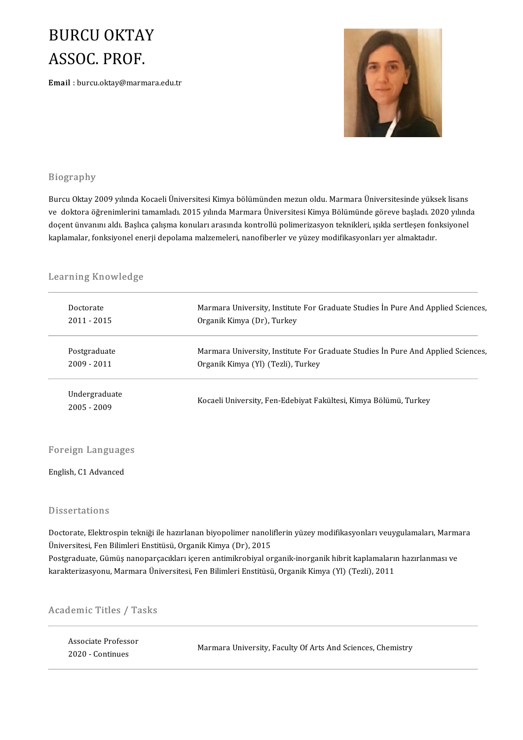### **BURCU OKTAY BURCU OKTA<br>ASSOC. PROF.**<br>Email : burcu.oktav@marm ASSOC. PROF.<br>Email : burcu.oktay@marmara.edu.tr



### Biography

Burcu Oktay 2009 yılında Kocaeli Üniversitesi Kimya bölümünden mezun oldu. Marmara Üniversitesinde yüksek lisans ve doktora<br>Burcu Oktay 2009 yılında Kocaeli Üniversitesi Kimya bölümünden mezun oldu. Marmara Üniversitesinde yüksek lisans<br>ve doktora öğrenimlerini tamamladı. 2015 yılında Marmara Üniversitesi Kimya Bölümünde göreve başl Burcu Oktay 2009 yılında Kocaeli Üniversitesi Kimya bölümünden mezun oldu. Marmara Üniversitesinde yüksek lisans<br>ve doktora öğrenimlerini tamamladı. 2015 yılında Marmara Üniversitesi Kimya Bölümünde göreve başladı. 2020 y doçent ünvanını aldı. Başlıca çalışma konuları arasında kontrollü polimerizasyon teknikleri, ışıkla sertleşen fonksiyonel<br>kaplamalar, fonksiyonel enerji depolama malzemeleri, nanofiberler ve yüzey modifikasyonları yer alma

# kapiamaiar, ionksiyonei ene<br>Learning Knowledge

| Doctorate                    | Marmara University, Institute For Graduate Studies In Pure And Applied Sciences, |  |
|------------------------------|----------------------------------------------------------------------------------|--|
| 2011 - 2015                  | Organik Kimya (Dr), Turkey                                                       |  |
| Postgraduate                 | Marmara University, Institute For Graduate Studies In Pure And Applied Sciences, |  |
| 2009 - 2011                  | Organik Kimya (Yl) (Tezli), Turkey                                               |  |
| Undergraduate<br>2005 - 2009 | Kocaeli University, Fen-Edebiyat Fakültesi, Kimya Bölümü, Turkey                 |  |
|                              |                                                                                  |  |

### Foreign Language<br>English, C1 Advanced

### English, C1 Advanced<br>Dissertations

Dissertations<br>Doctorate, Elektrospin tekniği ile hazırlanan biyopolimer nanoliflerin yüzey modifikasyonları veuygulamaları, Marmara<br>Üniversitesi, Fen Bilimleri Enstitüsü, Organik Kimya (Dr.), 2015 Üniversitesi, Fen Bilimleri Enstitüsü, Organik Kimya (Dr), 2015<br>Postgraduate, Gümüş nanoparçacıkları içeren antimikrobiyal organik-inorganik hibrit kaplamaların hazırlanması ve Doctorate, Elektrospin tekniği ile hazırlanan biyopolimer nanoliflerin yüzey modifikasyonları veuygulamaları, Marma<br>Üniversitesi, Fen Bilimleri Enstitüsü, Organik Kimya (Dr), 2015<br>Postgraduate, Gümüş nanoparçacıkları içere karakterizasyonu, Marmara Üniversitesi, Fen Bilimleri Enstitüsü, Organik Kimya (Yl) (Tezli), 2011

# karakterizasyonu, marmara uni<br>Academic Titles / Tasks

| cademic Titles / Tasks                  |                                                             |
|-----------------------------------------|-------------------------------------------------------------|
| Associate Professor<br>2020 - Continues | Marmara University, Faculty Of Arts And Sciences, Chemistry |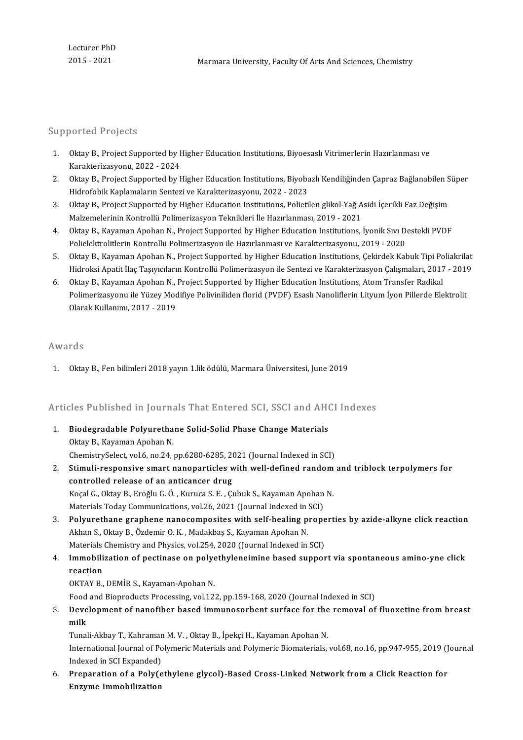### Supported Projects

- upported Projects<br>1. Oktay B., Project Supported by Higher Education Institutions, Biyoesaslı Vitrimerlerin Hazırlanması ve<br>Karakterizasyonu, 2022, 2024 Marcus II 1<br>2022 - Oktay B., Project Supported by F<br>Karakterizasyonu, 2022 - 2024<br>Oktay B., Project Supported by L
- 2. OktayB.,ProjectSupportedbyHigherEducationInstitutions,BiyobazlıKendiliğindenÇaprazBağlanabilenSüper Hidrofobik Kaplamaların Sentezi ve Karakterizasyonu, 2022 - 2023 3. Oktay B., Project Supported by Higher Education Institutions, Biyobazlı Kendiliğinden Çapraz Bağlanabilen S<br>1. Hidrofobik Kaplamaların Sentezi ve Karakterizasyonu, 2022 - 2023<br>3. Oktay B., Project Supported by Higher Ed
- Hidrofobik Kaplamaların Sentezi ve Karakterizasyonu, 2022 2023<br>Oktay B., Project Supported by Higher Education Institutions, Polietilen glikol-Yağ A<br>Malzemelerinin Kontrollü Polimerizasyon Teknikleri İle Hazırlanması, 20 3. Oktay B., Project Supported by Higher Education Institutions, Polietilen glikol-Yağ Asidi İçerikli Faz Değişim<br>Malzemelerinin Kontrollü Polimerizasyon Teknikleri İle Hazırlanması, 2019 - 2021<br>4. Oktay B., Kayaman Apohan
- Malzemelerinin Kontrollü Polimerizasyon Teknikleri İle Hazırlanması, 2019 2021<br>Oktay B., Kayaman Apohan N., Project Supported by Higher Education Institutions, İyonik Sıvı D.<br>Polielektrolitlerin Kontrollü Polimerizasyon 5. Oktay B., Kayaman Apohan N., Project Supported by Higher Education Institutions, İyonik Sıvı Destekli PVDF<br>Polielektrolitlerin Kontrollü Polimerizasyon ile Hazırlanması ve Karakterizasyonu, 2019 - 2020<br>5. Oktay B., Kaya
- Polielektrolitlerin Kontrollü Polimerizasyon ile Hazırlanması ve Karakterizasyonu, 2019 2020<br>Oktay B., Kayaman Apohan N., Project Supported by Higher Education Institutions, Çekirdek Kabuk Tipi Poliakrilat<br>Hidroksi Apati 5. Oktay B., Kayaman Apohan N., Project Supported by Higher Education Institutions, Çekirdek Kabuk Tipi Po<br>Hidroksi Apatit İlaç Taşıyıcıların Kontrollü Polimerizasyon ile Sentezi ve Karakterizasyon Çalışmaları, 2017<br>6. Okt
- Polimerizasyonu ile Yüzey Modifiye Poliviniliden florid (PVDF) Esaslı Nanoliflerin Lityum İyon Pillerde Elektrolit<br>Olarak Kullanımı. 2017 2019 Oktay B., Kayaman Apohan N.,<br>Polimerizasyonu ile Yüzey Moc<br>Olarak Kullanımı, 2017 - 2019

### Awards

1. OktayB.,Fenbilimleri2018yayın1.liködülü,MarmaraÜniversitesi, June2019

# 1. Oktay B., ren bilimieri 2018 yayın 1.lik odulu, Marmara Universitesi, June 2019<br>Articles Published in Journals That Entered SCI, SSCI and AHCI Indexes

- Articles Published in Journals That Entered SCI, SSCI and AHO<br>1. Biodegradable Polyurethane Solid-Solid Phase Change Materials<br>Oltay B. Kayaman Anaban N 1. Biodegradable Polyurethane Solid-Solid Phase Change Materials<br>Oktay B., Kayaman Apohan N. Biodegradable Polyurethane Solid-Solid Phase Change Materials<br>Oktay B., Kayaman Apohan N.<br>ChemistrySelect, vol.6, no.24, pp.6280-6285, 2021 (Journal Indexed in SCI)<br>Stimuli necnonsive smart nanonantiales with well defined
- 2. Stimuli-responsive smart nanoparticles with well-defined random and triblock terpolymers for controlled release of an anticancer drug ChemistrySelect, vol.6, no.24, pp.6280-6285, 20<br>Stimuli-responsive smart nanoparticles w<br>controlled release of an anticancer drug<br>Kesal C. Oltou B. Enašlu C. Ö. Kunusa S. E. C. Stimuli-responsive smart nanoparticles with well-defined random<br>controlled release of an anticancer drug<br>Koçal G., Oktay B., Eroğlu G. Ö. , Kuruca S. E. , Çubuk S., Kayaman Apohan N.<br>Matariala Taday Communisations vel 26, controlled release of an anticancer drug<br>Koçal G., Oktay B., Eroğlu G. Ö. , Kuruca S. E. , Çubuk S., Kayaman Apohan<br>Materials Today Communications, vol.26, 2021 (Journal Indexed in SCI)<br>Polywethane graphane nanecomposites 3. Koçal G., Oktay B., Eroğlu G. Ö., Kuruca S. E., Çubuk S., Kayaman Apohan N.<br>3. Polyurethane graphene nanocomposites with self-healing properties by azide-alkyne click reaction<br>3. Polyurethane graphene nanocomposites wit
- Materials Today Communications, vol.26, 2021 (Journal Indexed in SCI)<br>Polyurethane graphene nanocomposites with self-healing propo<br>Akhan S., Oktay B., Özdemir O. K., Madakbaş S., Kayaman Apohan N. Polyurethane graphene nanocomposites with self-healing prope<br>Akhan S., Oktay B., Özdemir O. K. , Madakbaş S., Kayaman Apohan N.<br>Materials Chemistry and Physics, vol.254, 2020 (Journal Indexed in SCI)<br>Immebilization of nost Akhan S., Oktay B., Özdemir O. K., Madakbaş S., Kayaman Apohan N.<br>Materials Chemistry and Physics, vol.254, 2020 (Journal Indexed in SCI)<br>4. Immobilization of pectinase on polyethyleneimine based support via spontaneous am
- Materials Chemistry and Physics, vol.254, 2020 (Journal Indexed in SCI)<br>Immobilization of pectinase on polyethyleneimine based suppor<br>reaction<br>OKTAY B., DEMİR S., Kayaman-Apohan N. Immobilization of pectinase on polye<br>reaction<br>OKTAY B., DEMİR S., Kayaman-Apohan N.<br>Feed and Bianredusts Presessing vol 12.

Food and Bioproducts Processing, vol.122, pp.159-168, 2020 (Journal Indexed in SCI)

OKTAY B., DEMIR S., Kayaman-Apohan N.<br>5. Development of nanofiber based immunosorbent surface for the removal of fluoxetine from breast<br>5. Development of nanofiber based immunosorbent surface for the removal of fluoxetine Food<br><mark>Deve</mark><br>milk<br><sup>Tunal</sup> Development of nanofiber based immunosorbent surface for the<br>milk<br>Tunali-Akbay T., Kahraman M. V. , Oktay B., İpekçi H., Kayaman Apohan N.<br>International Journal of Polymeria Materials and Polymeria Biometerials

**milk**<br>Tunali-Akbay T., Kahraman M. V. , Oktay B., İpekçi H., Kayaman Apohan N.<br>Indeved in SCL Evnanded). Tunali-Akbay T., Kahraman<br>International Journal of Po<br>Indexed in SCI Expanded)<br>Preperation of a Boly(o International Journal of Polymeric Materials and Polymeric Biomaterials, vol.68, no.16, pp.947-955, 2019 (J<br>Indexed in SCI Expanded)<br>6. Preparation of a Poly(ethylene glycol)-Based Cross-Linked Network from a Click Reactio

Indexed in SCI Expanded)<br>6. Preparation of a Poly(ethylene glycol)-Based Cross-Linked Network from a Click Reaction for<br>Enzyme Immobilization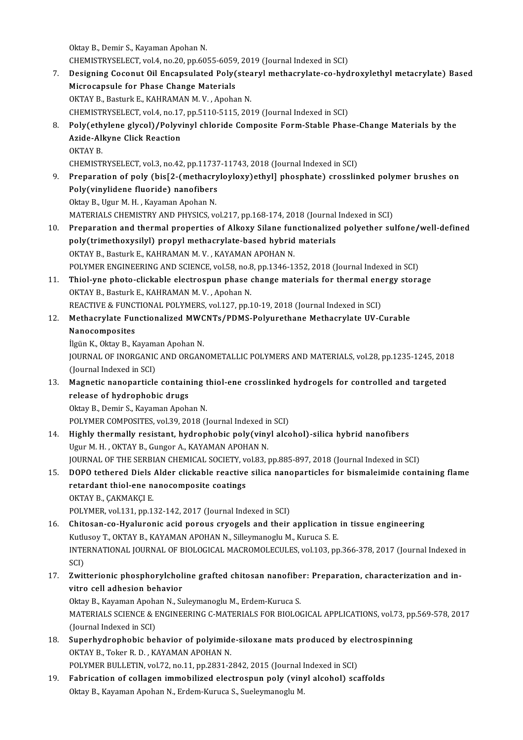Oktay B., Demir S., Kayaman Apohan N.

Oktay B., Demir S., Kayaman Apohan N.<br>CHEMISTRYSELECT, vol.4, no.20, pp.6055-6059, 2019 (Journal Indexed in SCI)<br>Designing Gesenut Oil Ensensulated Bely(steenul methesuulate se hyd

- 0ktay B., Demir S., Kayaman Apohan N.<br>CHEMISTRYSELECT, vol.4, no.20, pp.6055-6059, 2019 (Journal Indexed in SCI)<br>7. Designing Coconut Oil Encapsulated Poly(stearyl methacrylate-co-hydroxylethyl metacrylate) Based<br>Misro CHEMISTRYSELECT, vol.4, no.20, pp.6055-6059<br>Designing Coconut Oil Encapsulated Poly<br>Microcapsule for Phase Change Materials Designing Coconut Oil Encapsulated Poly(stea<br>Microcapsule for Phase Change Materials<br>OKTAY B., Basturk E., KAHRAMAN M.V., Apohan N.<br>CHEMISTRYSELECT VOLA no 17 np 5110 5115-202 Microcapsule for Phase Change Materials<br>OKTAY B., Basturk E., KAHRAMAN M. V. , Apohan N.<br>CHEMISTRYSELECT, vol.4, no.17, pp.5110-5115, 2019 (Journal Indexed in SCI) 9. OKTAY B., Basturk E., KAHRAMAN M. V. , Apohan N.<br>2019 (Journal Indexed in SCI)<br>8. Poly(ethylene glycol)/Polyvinyl chloride Composite Form-Stable Phase-Change Materials by the<br>2014 Alivne Click Beastion CHEMISTRYSELECT, vol.4, no.17<br>Poly(ethylene glycol)/Polyvi<br>Azide-Alkyne Click Reaction<br>O<sup>LTAV P</sup> Poly(eth<br>Azide-All<br>OKTAY B.<br>CHEMISTI Azide-Alkyne Click Reaction<br>OKTAY B.<br>CHEMISTRYSELECT, vol.3, no.42, pp.11737-11743, 2018 (Journal Indexed in SCI)<br>Preparation of noly (bis[2, (mathasyuloulou) sthyll phosphate), crosslin 0KTAY B.<br>CHEMISTRYSELECT, vol.3, no.42, pp.11737-11743, 2018 (Journal Indexed in SCI)<br>9. Preparation of poly (bis[2-(methacryloyloxy)ethyl] phosphate) crosslinked polymer brushes on<br>Poly(vinylidene flueride) panefibers CHEMISTRYSELECT, vol.3, no.42, pp.11737<br>Preparation of poly (bis[2-(methacry<br>Poly(vinylidene fluoride) nanofibers Preparation of poly (bis[2-(methacry<br>Poly(vinylidene fluoride) nanofibers<br>Oktay B., Ugur M. H. , Kayaman Apohan N.<br>MATEPIALS CHEMISTRY AND BHYSICS II Poly(vinylidene fluoride) nanofibers<br>Oktay B., Ugur M. H. , Kayaman Apohan N.<br>MATERIALS CHEMISTRY AND PHYSICS, vol.217, pp.168-174, 2018 (Journal Indexed in SCI)<br>Preperation and thermal preperties of Alkewy Silane function 0ktay B., Ugur M. H. , Kayaman Apohan N.<br>MATERIALS CHEMISTRY AND PHYSICS, vol.217, pp.168-174, 2018 (Journal Indexed in SCI)<br>10. Preparation and thermal properties of Alkoxy Silane functionalized polyether sulfone/well-def MATERIALS CHEMISTRY AND PHYSICS, vol.217, pp.168-174, 2018 (Journal<br>Preparation and thermal properties of Alkoxy Silane functionalized<br>poly(trimethoxysilyl) propyl methacrylate-based hybrid materials<br>OKTAV B. Besturk E. KA Preparation and thermal properties of Alkoxy Silane fun<br>poly(trimethoxysilyl) propyl methacrylate-based hybrid<br>OKTAY B., Basturk E., KAHRAMAN M. V. , KAYAMAN APOHAN N.<br>POLYMER ENGINEERING AND SCIENCE vol 59 no 9 nn 1346 13 poly(trimethoxysilyl) propyl methacrylate-based hybrid materials<br>OKTAY B., Basturk E., KAHRAMAN M. V. , KAYAMAN APOHAN N.<br>POLYMER ENGINEERING AND SCIENCE, vol.58, no.8, pp.1346-1352, 2018 (Journal Indexed in SCI) OKTAY B., Basturk E., KAHRAMAN M. V., KAYAMAN APOHAN N.<br>POLYMER ENGINEERING AND SCIENCE, vol.58, no.8, pp.1346-1352, 2018 (Journal Indexed in SCI)<br>11. Thiol-yne photo-clickable electrospun phase change materials for therma POLYMER ENGINEERING AND SCIENCE, vol.58, no.8<br>Thiol-yne photo-clickable electrospun phase<br>OKTAY B., Basturk E., KAHRAMAN M.V., Apohan N. Thiol-yne photo-clickable electrospun phase change materials for thermal ene<br>OKTAY B., Basturk E., KAHRAMAN M. V. , Apohan N.<br>REACTIVE & FUNCTIONAL POLYMERS, vol.127, pp.10-19, 2018 (Journal Indexed in SCI)<br>Mathacrylate Eu OKTAY B., Basturk E., KAHRAMAN M. V. , Apohan N.<br>REACTIVE & FUNCTIONAL POLYMERS, vol.127, pp.10-19, 2018 (Journal Indexed in SCI)<br>12. Methacrylate Functionalized MWCNTs/PDMS-Polyurethane Methacrylate UV-Curable<br>Nanocomposi REACTIVE & FUNCTIONAL POLYMERS, vol.127, pp.10-19, 2018 (Journal Indexed in SCI) Methacrylate Functionalized MWC<br>Nanocomposites<br>İlgün K., Oktay B., Kayaman Apohan N.<br>JOUPMAL OE INOPCANIC AND OPCAN JOURNAL OF INORGANIC AND ORGANOMETALLIC POLYMERS AND MATERIALS, vol.28, pp.1235-1245, 2018<br>(Journal Indexed in SCI) İlgün K., Oktay B., Kayama<br>JOURNAL OF INORGANIC<br>(Journal Indexed in SCI)<br>Magnetis nanonantiale 13. JOURNAL OF INORGANIC AND ORGANOMETALLIC POLYMERS AND MATERIALS, vol.28, pp.1235-1245, 201<br>(Journal Indexed in SCI)<br>13. Magnetic nanoparticle containing thiol-ene crosslinked hydrogels for controlled and targeted<br>releas (Journal Indexed in SCI)<br>Magnetic nanoparticle contain<br>release of hydrophobic drugs<br>Oltau B. Domir S. Kayaman Angha Magnetic nanoparticle containing t<br>release of hydrophobic drugs<br>Oktay B., Demir S., Kayaman Apohan N.<br>POLYMER COMPOSITES, vol 29, 2018 (I release of hydrophobic drugs<br>Oktay B., Demir S., Kayaman Apohan N.<br>POLYMER COMPOSITES, vol.39, 2018 (Journal Indexed in SCI) 14. Highly thermally resistant, hydrophobic poly(vinyl alcohol)-silica hybrid nanofibers Ugur M.H., OKTAY B., Gungor A., KAYAMAN APOHAN N. Highly thermally resistant, hydrophobic poly(vinyl alcohol)-silica hybrid nanofibers<br>Ugur M. H. , OKTAY B., Gungor A., KAYAMAN APOHAN N.<br>JOURNAL OF THE SERBIAN CHEMICAL SOCIETY, vol.83, pp.885-897, 2018 (Journal Indexed in 15. DOPO tethered Diels Alder clickable reactive silica nanoparticles for bismaleimide containing flame JOURNAL OF THE SERBIAN CHEMICAL SOCIETY, ve<br>DOPO tethered Diels Alder clickable reactive<br>retardant thiol-ene nanocomposite coatings<br>OKTAV B. CAKMAKCLE retardant thiol-ene nanocomposite coatings<br>OKTAY B., CAKMAKCI E. POLYMER, vol.131, pp.132-142, 2017 (Journal Indexed in SCI) OKTAY B., ÇAKMAKÇI E.<br>16. Chitosan-co-Hyaluronic acid porous cryogels and their application in tissue engineering<br>16. Chitosan-co-Hyaluronic acid porous cryogels and their application in tissue engineering<br>16. Cutluseu T. POLYMER, vol.131, pp.132-142, 2017 (Journal Indexed in SCI)<br>Chitosan-co-Hyaluronic acid porous cryogels and their application<br>Kutlusoy T., OKTAY B., KAYAMAN APOHAN N., Silleymanoglu M., Kuruca S. E.<br>INTERNATIONAL JOURNAL O Chitosan-co-Hyaluronic acid porous cryogels and their application in tissue engineering<br>Kutlusoy T., OKTAY B., KAYAMAN APOHAN N., Silleymanoglu M., Kuruca S. E.<br>INTERNATIONAL JOURNAL OF BIOLOGICAL MACROMOLECULES, vol.103, Kutl<mark>u</mark><br>INTE<br>SCI)<br>Zwit INTERNATIONAL JOURNAL OF BIOLOGICAL MACROMOLECULES, vol.103, pp.366-378, 2017 (Journal Indexed i<br>SCI)<br>17. Zwitterionic phosphorylcholine grafted chitosan nanofiber: Preparation, characterization and in-<br>17. Twitterionic ph SCI)<br>Zwitterionic phosphorylchol<br>vitro cell adhesion behavior<br>Oktav B. Kayaman Anghan N. S. Zwitterionic phosphorylcholine grafted chitosan nanofibe<br>vitro cell adhesion behavior<br>Oktay B., Kayaman Apohan N., Suleymanoglu M., Erdem-Kuruca S.<br>MATERIALS SCIENCE & ENCINEERING C MATERIALS EOR PIOLOG vitro cell adhesion behavior<br>Oktay B., Kayaman Apohan N., Suleymanoglu M., Erdem-Kuruca S.<br>MATERIALS SCIENCE & ENGINEERING C-MATERIALS FOR BIOLOGICAL APPLICATIONS, vol.73, pp.569-578, 2017 (Journal Indexed in SCI) MATERIALS SCIENCE & ENGINEERING C-MATERIALS FOR BIOLOGICAL APPLICATIONS, vol.73, pp<br>(Journal Indexed in SCI)<br>18. Superhydrophobic behavior of polyimide-siloxane mats produced by electrospinning<br> $QVTAYB - TQISTB - YAYAMAN ADOMANN$ (Journal Indexed in SCI)<br>Superhydrophobic behavior of polyimide<br>OKTAY B., Toker R. D. , KAYAMAN APOHAN N.<br>POLYMER PULLETIN, VOL72, 20.11, pp.2821-2 Superhydrophobic behavior of polyimide-siloxane mats produced by ele<br>OKTAY B., Toker R. D. , KAYAMAN APOHAN N.<br>POLYMER BULLETIN, vol.72, no.11, pp.2831-2842, 2015 (Journal Indexed in SCI)<br>Febrisation of sellagen immebilize 0KTAY B., Toker R. D., KAYAMAN APOHAN N.<br>19. Fabrication of collagen immobilized electrospun poly (vinyl alcohol) scaffolds
- Oktay B., Kayaman Apohan N., Erdem-Kuruca S., Sueleymanoglu M.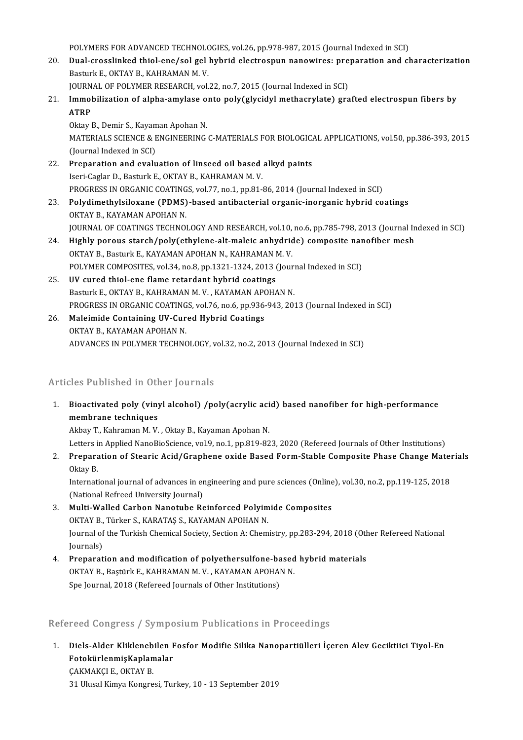POLYMERS FOR ADVANCED TECHNOLOGIES, vol.26, pp.978-987, 2015 (Journal Indexed in SCI)<br>Dual grasslinked thiel and/sel gel bybrid electrospun panewires: preparation and cl

POLYMERS FOR ADVANCED TECHNOLOGIES, vol.26, pp.978-987, 2015 (Journal Indexed in SCI)<br>20. Dual-crosslinked thiol-ene/sol gel hybrid electrospun nanowires: preparation and characterization POLYMERS FOR ADVANCED TECHNOLO<br>Dual-crosslinked thiol-ene/sol gel<br>Basturk E., OKTAY B., KAHRAMAN M. V.<br>JOUPNAL OF POLYMER BESEARCH .vel Dual-crosslinked thiol-ene/sol gel hybrid electrospun nanowires: pre<br>Basturk E., OKTAY B., KAHRAMAN M. V.<br>JOURNAL OF POLYMER RESEARCH, vol.22, no.7, 2015 (Journal Indexed in SCI)<br>Immebilization of alpha amylase ante nely(g

Basturk E., OKTAY B., KAHRAMAN M. V.<br>JOURNAL OF POLYMER RESEARCH, vol.22, no.7, 2015 (Journal Indexed in SCI)<br>21. Immobilization of alpha-amylase onto poly(glycidyl methacrylate) grafted electrospun fibers by<br>ATPP JOURN<br>I<mark>mmol</mark><br>ATRP<br>Oktav l I<mark>mmobilization of alpha-amylase o</mark><br>ATRP<br>Oktay B., Demir S., Kayaman Apohan N.<br>MATEPIALS SCIENCE & ENCINEEPINC

ATRP<br>Oktay B., Demir S., Kayaman Apohan N.<br>MATERIALS SCIENCE & ENGINEERING C-MATERIALS FOR BIOLOGICAL APPLICATIONS, vol.50, pp.386-393, 2015<br>(Journal Indexed in SCI) Oktay B., Demir S., Kayaman Apohan N. MATERIALS SCIENCE & ENGINEERING C-MATERIALS FOR BIOLOGIC.<br>(Journal Indexed in SCI)<br>22. Preparation and evaluation of linseed oil based alkyd paints<br>leavi Caster D. Basturk E. OKTAY B. KAHRAMAN M. V.

- (Journal Indexed in SCI)<br>Preparation and evaluation of linseed oil based<br>Iseri-Caglar D., Basturk E., OKTAY B., KAHRAMAN M. V.<br>PROCRESS IN ORGANIS COATINGS, vol 77, pp. 1, pp. 81. Iseri-Caglar D., Basturk E., OKTAY B., KAHRAMAN M. V.<br>PROGRESS IN ORGANIC COATINGS, vol.77, no.1, pp.81-86, 2014 (Journal Indexed in SCI) Iseri-Caglar D., Basturk E., OKTAY B., KAHRAMAN M. V.<br>PROGRESS IN ORGANIC COATINGS, vol.77, no.1, pp.81-86, 2014 (Journal Indexed in SCI)<br>23. Polydimethylsiloxane (PDMS)-based antibacterial organic-inorganic hybrid coating
- PROGRESS IN ORGANIC COATING<br>Polydimethylsiloxane (PDMS)<br>OKTAY B., KAYAMAN APOHAN N.<br>JOUPMAL OF COATINGS TECHNOL Polydimethylsiloxane (PDMS)-based antibacterial organic-inorganic hybrid coatings<br>OKTAY B., KAYAMAN APOHAN N.<br>JOURNAL OF COATINGS TECHNOLOGY AND RESEARCH, vol.10, no.6, pp.785-798, 2013 (Journal Indexed in SCI)<br>Highly noro OKTAY B., KAYAMAN APOHAN N.<br>JOURNAL OF COATINGS TECHNOLOGY AND RESEARCH, vol.10, no.6, pp.785-798, 2013 (Journal In<br>24. Highly porous starch/poly(ethylene-alt-maleic anhydride) composite nanofiber mesh<br>QVTAY B. Basturk E.
- JOURNAL OF COATINGS TECHNOLOGY AND RESEARCH, vol.10,<br>Highly porous starch/poly(ethylene-alt-maleic anhydric<br>OKTAY B., Basturk E., KAYAMAN APOHAN N., KAHRAMAN M. V.<br>POLYMER COMPOSITES, vol.24, no.2, np.1221, 1224, 2012 (Jou 24. Highly porous starch/poly(ethylene-alt-maleic anhydride) composite nanofiber mesh<br>OKTAY B., Basturk E., KAYAMAN APOHAN N., KAHRAMAN M. V.<br>POLYMER COMPOSITES, vol.34, no.8, pp.1321-1324, 2013 (Journal Indexed in SCI)
- 25. UV cured thiol-ene flame retardant hybrid coatings Basturk E., OKTAY B., KAHRAMAN M. V., KAYAMAN APOHAN N. UV cured thiol-ene flame retardant hybrid coatings<br>Basturk E., OKTAY B., KAHRAMAN M. V. , KAYAMAN APOHAN N.<br>PROGRESS IN ORGANIC COATINGS, vol.76, no.6, pp.936-943, 2013 (Journal Indexed in SCI)<br>Maleimide Containing UV Cure
- 26. Maleimide Containing UV-Cured Hybrid Coatings PROGRESS IN ORGANIC COATING<br>Maleimide Containing UV-Cur<br>OKTAY B., KAYAMAN APOHAN N.<br>ADVANCES IN POLYMER TECUNG ADVANCES IN POLYMER TECHNOLOGY, vol.32, no.2, 2013 (Journal Indexed in SCI)

### Articles Published in Other Journals

Inticles Published in Other Journals<br>1. Bioactivated poly (vinyl alcohol) /poly(acrylic acid) based nanofiber for high-performance<br>mombrane techniques membrane techniques<br>Akbay T., Kahraman M. V. , Oktay B., Kayaman Apohan N. Bioactivated poly (vinyl alcohol) /poly(acrylic aci<br>membrane techniques<br>Akbay T., Kahraman M. V. , Oktay B., Kayaman Apohan N.<br>Letters in Applied NapolieSsiance val 9 no 1 np 819 92

Letters in Applied NanoBioScience, vol.9, no.1, pp.819-823, 2020 (Refereed Journals of Other Institutions)

Akbay T., Kahraman M. V. , Oktay B., Kayaman Apohan N.<br>Letters in Applied NanoBioScience, vol.9, no.1, pp.819-823, 2020 (Refereed Journals of Other Institutions)<br>2. Preparation of Stearic Acid/Graphene oxide Based Form-Sta Letters i<br><mark>Prepara</mark><br>Oktay B. Preparation of Stearic Acid/Graphene oxide Based Form-Stable Composite Phase Change Mater<br>Oktay B.<br>International journal of advances in engineering and pure sciences (Online), vol.30, no.2, pp.119-125, 2018<br>(National Befre

Oktay B.<br>International journal of advances in engineering and pure sciences (Online), vol.30, no.2, pp.119-125, 2018<br>(National Refreed University Journal) International journal of advances in engineering and pure sciences (Online<br>(National Refreed University Journal)<br>3. Multi-Walled Carbon Nanotube Reinforced Polyimide Composites<br>OKTAV P. Türkor S. KARATAS S. KAYAMAN ADOHAN

- (National Refreed University Journal)<br>Multi-Walled Carbon Nanotube Reinforced Polyim<br>OKTAY B., Türker S., KARATAŞ S., KAYAMAN APOHAN N.<br>Journal of the Turkish Chamical Society, Section A. Cham Multi-Walled Carbon Nanotube Reinforced Polyimide Composites<br>OKTAY B., Türker S., KARATAŞ S., KAYAMAN APOHAN N.<br>Journal of the Turkish Chemical Society, Section A: Chemistry, pp.283-294, 2018 (Other Refereed National<br>Journ OKTAY B.,<br>Journal of<br>Journals)<br>Proparat Journal of the Turkish Chemical Society, Section A: Chemistry, pp.283-294, 2018 (Oth<br>Journals)<br>4. Preparation and modification of polyethersulfone-based hybrid materials<br>QVTAV B. Postink E. KAHRAMAN M. V., KAYAMAN APOHAN N
- Journals)<br><mark>Preparation and modification of polyethersulfone-based</mark><br>OKTAY B., Baştürk E., KAHRAMAN M. V. , KAYAMAN APOHAN N.<br>Spe Journal, 2019 (Refereed Journals of Other Institutions) Preparation and modification of polyethersulfone-ba<br>OKTAY B., Baştürk E., KAHRAMAN M. V. , KAYAMAN APOHAI<br>Spe Journal, 2018 (Refereed Journals of Other Institutions)

### Spe Journal, 2018 (Refereed Journals of Other Institutions)<br>Refereed Congress / Symposium Publications in Proceedings

lefereed Congress / Symposium Publications in Proceedings<br>1. Diels-Alder Kliklenebilen Fosfor Modifie Silika Nanopartiülleri İçeren Alev Geciktiici Tiyol-En<br>FetekürlenmicKenlemeler Foto döngress / Sympe<br>Diels-Alder Kliklenebilen F<br>FotokürlenmişKaplamalar Diels-Alder Klikleneb<br>FotokürlenmişKaplan<br>ÇAKMAKÇI E., OKTAY B.<br>21 Ulucal Kimya Kongro 51 **FotokürlenmişKaplamalar**<br>CAKMAKÇI E., OKTAY B.<br>31 Ulusal Kimya Kongresi, Turkey, 10 - 13 September 2019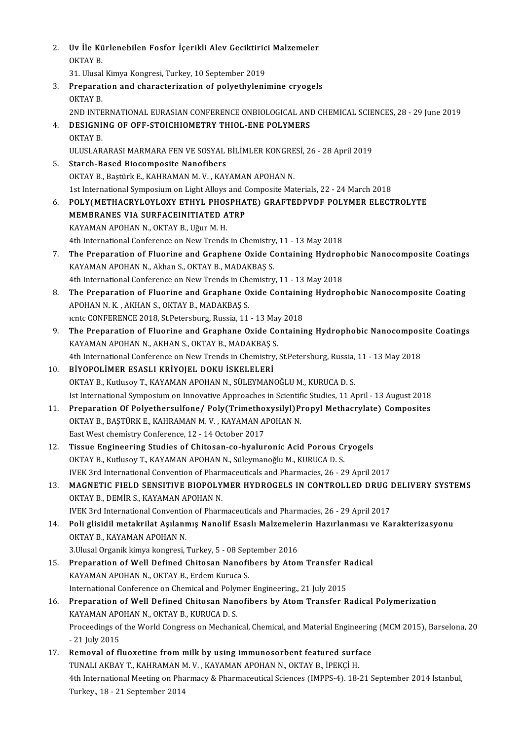2. Uv İle Kürlenebilen Fosfor İçerikli Alev Geciktirici Malzemeler<br>OKTAV B Uv İle Kü<br>OKTAY B.<br>21 Ulucal Uv İle Kürlenebilen Fosfor İçerikli Alev Geciktiric<br>OKTAY B.<br>31. Ulusal Kimya Kongresi, Turkey, 10 September 2019<br>Prepanation and shapaterization of polyatbuleni OKTAY B.<br>31. Ulusal Kimya Kongresi, Turkey, 10 September 2019<br>3. Preparation and characterization of polyethylenimine cryogels<br>OKTAY B 31. Ulusal<br><mark>Preparat</mark><br>OKTAY B.<br>2ND INTE OKTAY B.<br>2ND INTERNATIONAL EURASIAN CONFERENCE ONBIOLOGICAL AND CHEMICAL SCIENCES, 28 - 29 June 2019 OKTAY B.<br>2ND INTERNATIONAL EURASIAN CONFERENCE ONBIOLOGICAL ANI<br>4. DESIGNING OF OFF-STOICHIOMETRY THIOL-ENE POLYMERS<br>OKTAY B 2ND INTE<br>DESIGNI<br>OKTAY B.<br>ULUSI AP. DESIGNING OF OFF-STOICHIOMETRY THIOL-ENE POLYMERS<br>OKTAY B.<br>ULUSLARARASI MARMARA FEN VE SOSYAL BİLİMLER KONGRESİ, 26 - 28 April 2019<br>Stareb Based Biasemnasita Nanefibars OKTAY B.<br>ULUSLARARASI MARMARA FEN VE SOSYAL BİLİMLER KONGRE<br>5. Starch-Based Biocomposite Nanofibers<br>OKTAY B., Baştürk E., KAHRAMAN M. V. , KAYAMAN APOHAN N. ULUSLARARASI MARMARA FEN VE SOSYAL BİLİMLER KONGRE<br>Starch-Based Biocomposite Nanofibers<br>OKTAY B., Baştürk E., KAHRAMAN M. V. , KAYAMAN APOHAN N.<br>1st International Sumposium en Light Alleys and Composite Met 1st International Symposium on Light Alloys and Composite Materials, 22 - 24 March 2018 OKTAY B., Baştürk E., KAHRAMAN M. V. , KAYAMAN APOHAN N.<br>1st International Symposium on Light Alloys and Composite Materials, 22 - 24 March 2018<br>6. POLY(METHACRYLOYLOXY ETHYL PHOSPHATE) GRAFTEDPVDF POLYMER ELECTROLYTE<br>MEMP 1st International Symposium on Light Alloys and C<br>POLY (METHACRYLOYLOXY ETHYL PHOSPHA<br>MEMBRANES VIA SURFACEINITIATED ATRP POLY (METHACRYLOYLOXY ETHYL PHOS<br>MEMBRANES VIA SURFACEINITIATED A<br>KAYAMAN APOHAN N., OKTAY B., Uğur M. H.<br>4th International Conference on New Trondo MEMBRANES VIA SURFACEINITIATED ATRP<br>KAYAMAN APOHAN N., OKTAY B., Uğur M. H.<br>4th International Conference on New Trends in Chemistry, 11 - 13 May 2018 KAYAMAN APOHAN N., OKTAY B., Uğur M. H.<br>4th International Conference on New Trends in Chemistry, 11 - 13 May 2018<br>7. The Preparation of Fluorine and Graphene Oxide Containing Hydrophobic Nanocomposite Coatings<br>5. WAYAMAN A 4th International Conference on New Trends in Chemistry<br>The Preparation of Fluorine and Graphene Oxide C<br>KAYAMAN APOHAN N., Akhan S., OKTAY B., MADAKBAŞ S.<br>4th International Conference on New Trends in Chemistry The Preparation of Fluorine and Graphene Oxide Containing Hydrop<br>KAYAMAN APOHAN N., Akhan S., OKTAY B., MADAKBAŞ S.<br>4th International Conference on New Trends in Chemistry, 11 - 13 May 2018<br>The Preparation of Eluerine and KAYAMAN APOHAN N., Akhan S., OKTAY B., MADAKBAŞ S.<br>4th International Conference on New Trends in Chemistry, 11 - 13 May 2018<br>8. The Preparation of Fluorine and Graphane Oxide Containing Hydrophobic Nanocomposite Coating<br>AP 4th International Conference on New Trends in Che<br>The Preparation of Fluorine and Graphane O<br>APOHAN N. K. , AKHAN S., OKTAY B., MADAKBAŞ S.<br>Jents CONEEPENCE 2019, St Petersburg, Pussia, 11. The Preparation of Fluorine and Graphane Oxide Containin<br>APOHAN N. K. , AKHAN S., OKTAY B., MADAKBAŞ S.<br>Icntc CONFERENCE 2018, St.Petersburg, Russia, 11 - 13 May 2018<br>The Preparation of Eluorine and Craphane Oxide Containi APOHAN N. K., AKHAN S., OKTAY B., MADAKBAŞ S.<br>11 - 13 May 2018<br>9. The Preparation of Fluorine and Graphane Oxide Containing Hydrophobic Nanocomposite Coatings<br>2009 MADARAN AROHAN N. AKHAN S. OKTAY R. MADAKRAS S. ichtc CONFERENCE 2018, St.Petersburg, Russia, 11 - 13 May<br>The Preparation of Fluorine and Graphane Oxide Co<br>KAYAMAN APOHAN N., AKHAN S., OKTAY B., MADAKBAŞ S.<br>4th International Conference on New Tronds in Chomistry. The Preparation of Fluorine and Graphane Oxide Containing Hydrophobic Nanocompos<br>KAYAMAN APOHAN N., AKHAN S., OKTAY B., MADAKBAŞ S.<br>4th International Conference on New Trends in Chemistry, St.Petersburg, Russia, 11 - 13 Ma KAYAMAN APOHAN N., AKHAN S., OKTAY B., MADAKBAŞ S<br>4th International Conference on New Trends in Chemistry<br>10. BİYOPOLİMER ESASLI KRİYOJEL DOKU İSKELELERİ<br>QUTAY B. Kutlusov T. KAYAMAN AROHAN N. SÜLEYMAN 4th International Conference on New Trends in Chemistry, St.Petersburg, Russia, 11 - 13 May 2018<br>BİYOPOLİMER ESASLI KRİYOJEL DOKU İSKELELERİ<br>OKTAY B., Kutlusoy T., KAYAMAN APOHAN N., SÜLEYMANOĞLU M., KURUCA D. S. Ist International Symposium on Innovative Approaches in Scientific Studies, 11 April - 13 August 2018 OKTAY B., Kutlusoy T., KAYAMAN APOHAN N., SÜLEYMANOĞLU M., KURUCA D. S.<br>11. Preparation Of Polyethersulfone/ Poly(Trimethoxysilyl)Propyl Methacrylate) Composites<br>2018 OKTAY B. BASTÜRK E. KAHRAMAN M. V., KAYAMAN AROHAN N. Ist International Symposium on Innovative Approaches in Scientif<br>Preparation Of Polyethersulfone/ Poly(Trimethoxysilyl)P<br>OKTAY B., BAŞTÜRK E., KAHRAMAN M. V. , KAYAMAN APOHAN N.<br>Fest West shamistry Conference 12, 14 Ostebe Preparation Of Polyethersulfone/ Poly(Trimethon<br>OKTAY B., BAŞTÜRK E., KAHRAMAN M. V. , KAYAMAN A<br>East West chemistry Conference, 12 - 14 October 2017<br>Tissue Engineering Studies of Chitesen se byelur OKTAY B., BAŞTÜRK E., KAHRAMAN M. V., KAYAMAN APOHAN N.<br>12. Tissue Engineering Studies of Chitosan-co-hyaluronic Acid Porous Cryogels<br>20 N. Yuthyay T. KAYAMAN APOHAN N. Sülaymanoğlu M. KUPUCA D. S East West chemistry Conference, 12 - 14 October 2017<br>Tissue Engineering Studies of Chitosan-co-hyaluronic Acid Porous Ci<br>OKTAY B., Kutlusoy T., KAYAMAN APOHAN N., Süleymanoğlu M., KURUCA D. S.<br>WEK 2rd International Convent Tissue Engineering Studies of Chitosan-co-hyaluronic Acid Porous Cryogels<br>OKTAY B., Kutlusoy T., KAYAMAN APOHAN N., Süleymanoğlu M., KURUCA D. S.<br>IVEK 3rd International Convention of Pharmaceuticals and Pharmacies, 26 - 29 OKTAY B., Kutlusoy T., KAYAMAN APOHAN N., Süleymanoğlu M., KURUCA D. S.<br>IVEK 3rd International Convention of Pharmaceuticals and Pharmacies, 26 - 29 April 2017<br>13. MAGNETIC FIELD SENSITIVE BIOPOLYMER HYDROGELS IN CONTROLLE IVEK 3rd International Convention of Pharm<br>**MAGNETIC FIELD SENSITIVE BIOPOLY**<br>OKTAY B., DEMIR S., KAYAMAN APOHAN N. MAGNETIC FIELD SENSITIVE BIOPOLYMER HYDROGELS IN CONTROLLED DRUG I<br>OKTAY B., DEMIR S., KAYAMAN APOHAN N.<br>IVEK 3rd International Convention of Pharmaceuticals and Pharmacies, 26 - 29 April 2017<br>Poli glisidil metakrilat Asıl OKTAY B., DEMİR S., KAYAMAN APOHAN N.<br>IVEK 3rd International Convention of Pharmaceuticals and Pharmacies, 26 - 29 April 2017<br>14. Poli glisidil metakrilat Aşılanmış Nanolif Esaslı Malzemelerin Hazırlanması ve Karakterizasy IVEK 3rd International Conventio<br>Poli glisidil metakrilat Aşılanı<br>OKTAY B., KAYAMAN APOHAN N.<br>2 Husal Organik kimua kongreci Poli glisidil metakrilat Aşılanmış Nanolif Esaslı Malzemele<br>OKTAY B., KAYAMAN APOHAN N.<br>3.Ulusal Organik kimya kongresi, Turkey, 5 - 08 September 2016<br>Preparation of Well Defined Chitasan Nanofibers by Aton OKTAY B., KAYAMAN APOHAN N.<br>3.Ulusal Organik kimya kongresi, Turkey, 5 - 08 September 2016<br>15. Preparation of Well Defined Chitosan Nanofibers by Atom Transfer Radical<br>KAYAMAN APOHAN N. OKTAY B. Erdem Kuruse S. 3.Ulusal Organik kimya kongresi, Turkey, 5 - 08 Sep<br>Preparation of Well Defined Chitosan Nanofi<br>KAYAMAN APOHAN N., OKTAY B., Erdem Kuruca S.<br>International Conference on Chemical and Polymon Preparation of Well Defined Chitosan Nanofibers by Atom Transfer R<br>KAYAMAN APOHAN N., OKTAY B., Erdem Kuruca S.<br>International Conference on Chemical and Polymer Engineering., 21 July 2015<br>Preparation of Well Defined Chitos 16. KAYAMAN APOHAN N., OKTAY B., Erdem Kuruca S.<br>16. Preparation of Well Defined Chitosan Nanofibers by Atom Transfer Radical Polymerization<br>16. Preparation of Well Defined Chitosan Nanofibers by Atom Transfer Radical Poly International Conference on Chemical and Polymer Engineering., 21 July 2015 Preparation of Well Defined Chitosan Nanofibers by Atom Transfer Radical Polymerization<br>KAYAMAN APOHAN N., OKTAY B., KURUCA D. S.<br>Proceedings of the World Congress on Mechanical, Chemical, and Material Engineering (MCM 201 KAYAMAN APC<br>Proceedings of<br>- 21 July 2015<br>Removal of fl Proceedings of the World Congress on Mechanical, Chemical, and Material Engineering<br>17. Removal of fluoxetine from milk by using immunosorbent featured surface<br>21. Removal of fluoxetine from milk by using immunosorbent fea - 21 July 2015<br>Removal of fluoxetine from milk by using immunosorbent featured surfa<br>TUNALI AKBAY T., KAHRAMAN M. V. , KAYAMAN APOHAN N., OKTAY B., İPEKÇİ H.<br>4th International Meeting en Pharmagy & Pharmageutical Sciences TUNALI AKBAY T., KAHRAMAN M. V. , KAYAMAN APOHAN N., OKTAY B., İPEKÇİ H.<br>4th International Meeting on Pharmacy & Pharmaceutical Sciences (IMPPS-4). 18-21 September 2014 Istanbul, Turkey.,18-21September 2014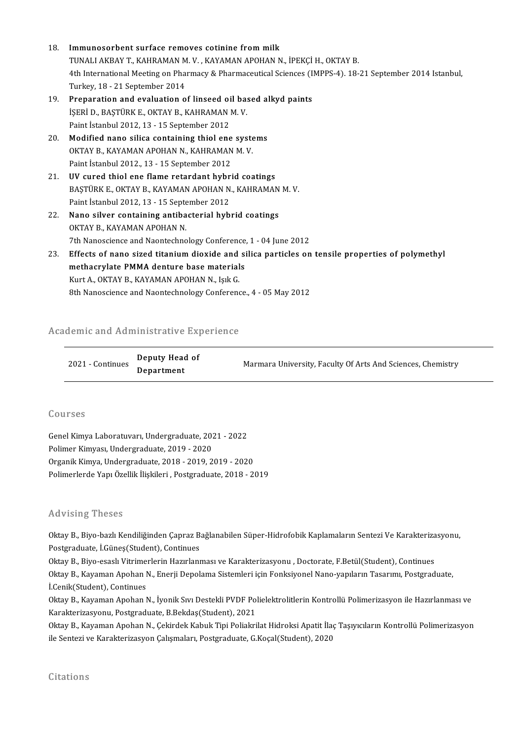- 18. Immunosorbent surface removes cotinine frommilk Immunosorbent surface removes cotinine from milk<br>TUNALI AKBAY T., KAHRAMAN M. V. , KAYAMAN APOHAN N., İPEKÇİ H., OKTAY B.<br>4th International Meeting en Pharmagy & Pharmageutical Sciences (IMPPS 4), 19. 4th International Meeting on Pharmacy & Pharmaceutical Sciences (IMPPS-4). 18-21 September 2014 Istanbul, Turkey, 18 - 21 September 2014 TUNALI AKBAY T., KAHRAMAN M<br>4th International Meeting on Pha:<br>Turkey, 18 - 21 September 2014<br>Preperation and evoluation a
- 19. Preparation and evaluation of linseed oil based alkyd paints Turkey, 18 - 21 September 2014<br><mark>Preparation and evaluation of linseed oil ba</mark>:<br>İŞERİ D., BAŞTÜRK E., OKTAY B., KAHRAMAN M. V.<br>Paint İstanbul 2012-12 - 15 Sontamber 2012 Preparation and evaluation of linseed of<br>IŞERİ D., BAŞTÜRK E., OKTAY B., KAHRAMAN |<br>Paint İstanbul 2012, 13 - 15 September 2012<br>Medified nane silise sentaining thiel ene IŞERİ D., BAŞTÜRK E., OKTAY B., KAHRAMAN M. V.<br>Paint İstanbul 2012, 13 - 15 September 2012<br>20. Modified nano silica containing thiol ene systems<br>OKTAY B. KAYAMAN APOHAN N. KAHRAMAN M. V.
- Paint İstanbul 2012, 13 15 September 2012<br>Modified nano silica containing thiol ene syste<br>OKTAY B., KAYAMAN APOHAN N., KAHRAMAN M. V.<br>Paint İstanbul 2012, 12, 15 Santambar 2012 Modified nano silica containing thiol ene<br>OKTAY B., KAYAMAN APOHAN N., KAHRAMAN<br>Paint İstanbul 2012., 13 - 15 September 2012<br>IIV sured thiol ano flame retardant bubri OKTAY B., KAYAMAN APOHAN N., KAHRAMAN M. V.<br>Paint Istanbul 2012., 13 - 15 September 2012<br>21. UV cured thiol ene flame retardant hybrid coatings<br>PASTÜRK E OKTAY P. KAYAMAN AROHAN N. KAHRAMAN
- Paint İstanbul 2012., 13 15 September 2012<br>UV cured thiol ene flame retardant hybrid coatings<br>BAŞTÜRK E., OKTAY B., KAYAMAN APOHAN N., KAHRAMAN M. V.<br>Paint İstanbul 2012-12 15 Santambar 2012. UV cured thiol ene flame retardant hybr<br>BAŞTÜRK E., OKTAY B., KAYAMAN APOHAN N<br>Paint İstanbul 2012, 13 - 15 September 2012<br>Nane silver sentaining antibacterial bub BAŞTÜRK E., OKTAY B., KAYAMAN APOHAN N., KAHRAMAN<br>Paint İstanbul 2012, 13 - 15 September 2012<br>22. Nano silver containing antibacterial hybrid coatings<br>QYTAY B. YAYAMAN APOHAN N.
- Paint İstanbul 2012, 13 15 Septe<br>Nano silver containing antiba<br>OKTAY B., KAYAMAN APOHAN N.<br>7th Nanossianse and Neontachne OKTAY B., KAYAMAN APOHAN N.<br>7th Nanoscience and Naontechnology Conference, 1 - 04 June 2012
- OKTAY B., KAYAMAN APOHAN N.<br>23. Effects of nano sized titanium dioxide and silica particles on tensile properties of polymethyl<br>23. Effects of nano sized titanium dioxide and silica particles on tensile properties of polym 7th Nanoscience and Naontechnology Conference<br>Effects of nano sized titanium dioxide and si<br>methacrylate PMMA denture base materials<br>Evitt A. OETAV B. EAVAMAN APOUAN N. Jolt C Effects of nano sized titanium dioxide and<br>methacrylate PMMA denture base material<br>Kurt A., OKTAY B., KAYAMAN APOHAN N., Işık G.<br><sup>9th Nanossianes and Naantesbaalagu Canferane</sup> methacrylate PMMA denture base materials<br>Kurt A., OKTAY B., KAYAMAN APOHAN N., Işık G.<br>8th Nanoscience and Naontechnology Conference., 4 - 05 May 2012

# om Nanoscience and Naontecnhology Conference<br>Academic and Administrative Experience

| demic and Administrative Experience |                              |                                                             |  |
|-------------------------------------|------------------------------|-------------------------------------------------------------|--|
| 2021 - Continues                    | Deputy Head of<br>Department | Marmara University, Faculty Of Arts And Sciences, Chemistry |  |

### Courses

Courses<br>Genel Kimya Laboratuvarı, Undergraduate, 2021 - 2022<br>Pelimar Kimyası, Undergraduata, 2019, ...2020 9941988<br>Genel Kimya Laboratuvarı, Undergraduate, 201<br>Polimer Kimyası, Undergraduate, 2019 - 2020<br>Organik Kimya, Undergraduate, 2019 - 2010-2 Polimer Kimyası, Undergraduate, 2019 - 2020<br>Organik Kimya, Undergraduate, 2018 - 2019, 2019 - 2020 Polimerlerde Yapı Özellik İlişkileri , Postgraduate, 2018 - 2019

### Advising Theses

Advising Theses<br>Oktay B., Biyo-bazlı Kendiliğinden Çapraz Bağlanabilen Süper-Hidrofobik Kaplamaların Sentezi Ve Karakterizasyonu,<br>Restanaduata İ.Günes(Student), Centinues Postay B., Biyo-bazlı Kendiliğinden Çapraz B.<br>Postgraduate, İ.Güneş(Student), Continues<br>Oltay B., Biyo, esaslı Vitrimarların Hazırları Oktay B., Biyo-bazlı Kendiliğinden Çapraz Bağlanabilen Süper-Hidrofobik Kaplamaların Sentezi Ve Karakteriza<br>Postgraduate, İ.Güneş(Student), Continues<br>Oktay B., Biyo-esaslı Vitrimerlerin Hazırlanması ve Karakterizasyonu , D

Postgraduate, İ.Güneş(Student), Continues<br>Oktay B., Biyo-esaslı Vitrimerlerin Hazırlanması ve Karakterizasyonu , Doctorate, F.Betül(Student), Continues<br>Oktay B., Kayaman Apohan N., Enerji Depolama Sistemleri için Fonksiyon Oktay B., Biyo-esaslı Vitrime<br>Oktay B., Kayaman Apohan I<br>İ.Cenik(Student), Continues<br>Oktay B., Kayaman Anahan I Oktay B., Kayaman Apohan N., Enerji Depolama Sistemleri için Fonksiyonel Nano-yapıların Tasarımı, Postgraduate,<br>İ.Cenik(Student), Continues<br>Oktay B., Kayaman Apohan N., İyonik Sıvı Destekli PVDF Polielektrolitlerin Kontrol

İ.Cenik(Student), Continues<br>Oktay B., Kayaman Apohan N., İyonik Sıvı Destekli PVDF Pol<br>Karakterizasyonu, Postgraduate, B.Bekdaş(Student), 2021<br>Oktay B., Kayaman Anaban N., Celindek Kabuk Tini Belialmi Oktay B., Kayaman Apohan N., İyonik Sıvı Destekli PVDF Polielektrolitlerin Kontrollü Polimerizasyon ile Hazırlanması ve<br>Karakterizasyonu, Postgraduate, B.Bekdaş(Student), 2021<br>Oktay B., Kayaman Apohan N., Çekirdek Kabuk Ti

Karakterizasyonu, Postgraduate, B.Bekdaş(Student), 2021<br>Oktay B., Kayaman Apohan N., Çekirdek Kabuk Tipi Poliakrilat Hidroksi Apatit İlaç Taşıyıcıların Kontrollü Polimerizasyon<br>ile Sentezi ve Karakterizasyon Çalışmaları, P